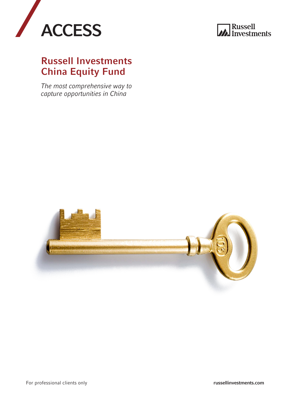



### Russell Investments China Equity Fund

*The most comprehensive way to capture opportunities in China*

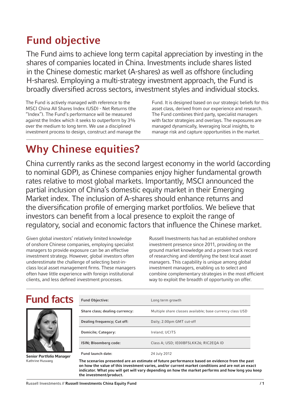# Fund objective

The Fund aims to achieve long term capital appreciation by investing in the shares of companies located in China. Investments include shares listed in the Chinese domestic market (A-shares) as well as offshore (including H-shares). Employing a multi-strategy investment approach, the Fund is broadly diversified across sectors, investment styles and individual stocks.

The Fund is actively managed with reference to the MSCI China All Shares Index (USD) - Net Returns (the "Index"). The Fund's performance will be measured against the Index which it seeks to outperform by 3% over the medium to long term. We use a disciplined investment process to design, construct and manage the Fund. It is designed based on our strategic beliefs for this asset class, derived from our experience and research. The Fund combines third party, specialist managers with factor strategies and overlays. The exposures are managed dynamically, leveraging local insights, to manage risk and capture opportunities in the market.

# Why Chinese equities?

China currently ranks as the second largest economy in the world (according to nominal GDP), as Chinese companies enjoy higher fundamental growth rates relative to most global markets. Importantly, MSCI announced the partial inclusion of China's domestic equity market in their Emerging Market index. The inclusion of A-shares should enhance returns and the diversification profile of emerging market portfolios. We believe that investors can benefit from a local presence to exploit the range of regulatory, social and economic factors that influence the Chinese market.

Given global investors' relatively limited knowledge of onshore Chinese companies, employing specialist managers to provide exposure can be an effective investment strategy. However, global investors often underestimate the challenge of selecting best-inclass local asset management firms. These managers often have little experience with foreign institutional clients, and less defined investment processes.

Russell Investments has had an established onshore investment presence since 2011, providing on the ground market knowledge and a proven track record of researching and identifying the best local asset managers. This capability is unique among global investment managers, enabling us to select and combine complementary strategies in the most efficient way to exploit the breadth of opportunity on offer.

### Fund facts



Senior Portfolio Manager Kathrine Husvaeg

| <b>Fund Objective:</b>         | Long term growth                                          |  |
|--------------------------------|-----------------------------------------------------------|--|
| Share class; dealing currency: | Multiple share classes available; base currency class USD |  |
| Dealing frequency; Cut off:    | Daily; 2.00pm GMT cut-off                                 |  |
| <b>Domicile: Category:</b>     | Ireland; UCITS                                            |  |
| ISIN; Bloomberg code:          | Class A; USD; IE00BF5LKK26; RIC2EQA ID                    |  |
| <b>Fund launch date:</b>       | 24 July 2012                                              |  |

The scenarios presented are an estimate of future performance based on evidence from the past on how the value of this investment varies, and/or current market conditions and are not an exact indicator. What you will get will vary depending on how the market performs and how long you keep the investment/product.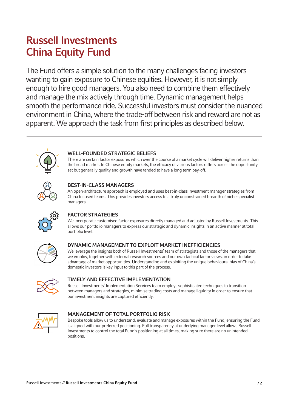# Russell Investments China Equity Fund

The Fund offers a simple solution to the many challenges facing investors wanting to gain exposure to Chinese equities. However, it is not simply enough to hire good managers. You also need to combine them effectively and manage the mix actively through time. Dynamic management helps smooth the performance ride. Successful investors must consider the nuanced environment in China, where the trade-off between risk and reward are not as apparent. We approach the task from first principles as described below.



### WELL-FOUNDED STRATEGIC BELIEFS

There are certain factor exposures which over the course of a market cycle will deliver higher returns than the broad market. In Chinese equity markets, the efficacy of various factors differs across the opportunity set but generally quality and growth have tended to have a long term pay-off.



### BEST-IN-CLASS MANAGERS

An open-architecture approach is employed and uses best-in-class investment manager strategies from China focused teams. This provides investors access to a truly unconstrained breadth of niche specialist managers.



### FACTOR STRATEGIES

We incorporate customised factor exposures directly managed and adjusted by Russell Investments. This allows our portfolio managers to express our strategic and dynamic insights in an active manner at total portfolio level.



### DYNAMIC MANAGEMENT TO EXPLOIT MARKET INEFFICIENCIES

We leverage the insights both of Russell Investments' team of strategists and those of the managers that we employ, together with external research sources and our own tactical factor views, in order to take advantage of market opportunities. Understanding and exploiting the unique behavioural bias of China's domestic investors is key input to this part of the process.



### TIMELY AND EFFECTIVE IMPLEMENTATION

Russell Investments' Implementation Services team employs sophisticated techniques to transition between managers and strategies, minimise trading costs and manage liquidity in order to ensure that our investment insights are captured efficiently.



### MANAGEMENT OF TOTAL PORTFOLIO RISK

Bespoke tools allow us to understand, evaluate and manage exposures within the Fund, ensuring the Fund is aligned with our preferred positioning. Full transparency at underlying manager level allows Russell Investments to control the total Fund's positioning at all times, making sure there are no unintended positions.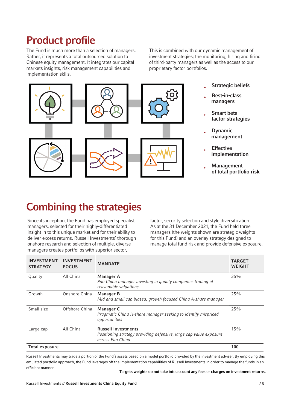## Product profile

The Fund is much more than a selection of managers. Rather, it represents a total outsourced solution to Chinese equity management. It integrates our capital markets insights, risk management capabilities and implementation skills.

This is combined with our dynamic management of investment strategies; the monitoring, hiring and firing of third-party managers as well as the access to our proprietary factor portfolios.



- **Strategic beliefs**
- Best-in-class managers
- **Smart beta** factor strategies
- **Dynamic** management
- **Effective** implementation
- **Management** of total portfolio risk

# Combining the strategies

Since its inception, the Fund has employed specialist managers, selected for their highly-differentiated insight in to this unique market and for their ability to deliver excess returns. Russell Investments' thorough onshore research and selection of multiple, diverse managers creates portfolios with superior sector,

factor, security selection and style diversification. As at the 31 December 2021, the Fund held three managers (the weights shown are strategic weights for this Fund) and an overlay strategy designed to manage total fund risk and provide defensive exposure.

| <b>INVESTMENT</b><br><b>STRATEGY</b> | <b>INVESTMENT</b><br><b>FOCUS</b> | <b>MANDATE</b>                                                                                                                                | <b>TARGET</b><br><b>WEIGHT</b> |
|--------------------------------------|-----------------------------------|-----------------------------------------------------------------------------------------------------------------------------------------------|--------------------------------|
| Quality                              | All China                         | <b>Manager A</b><br>Pan China manager investing in quality companies trading at<br>reasonable valuations                                      | 35%                            |
| Growth                               | Onshore China                     | <b>Manager B</b><br>Mid and small cap biased, growth focused China A-share manager                                                            | 25%                            |
| Small size                           | Offshore China                    | Manager C<br>Pragmatic China H-share manager seeking to identify mispriced<br>opportunities                                                   | 25%                            |
| Large cap                            | All China                         | <b>Russell Investments</b><br>Positioning strategy providing defensive, large cap value exposure<br>across Pan China                          | 15%                            |
| <b>Total exposure</b>                |                                   |                                                                                                                                               | 100                            |
|                                      |                                   | Russell Investments may trade a portion of the Fund's assets based on a model portfolio provided by the investment adviser. By employing this |                                |

Russell Investments may trade a portion of the Fund's assets based on a model portfolio provided by the investment adviser. By employing this emulated portfolio approach, the Fund leverages off the implementation capabilities of Russell Investments in order to manage the funds in an efficient manner.

Targets weights do not take into account any fees or charges on investment returns.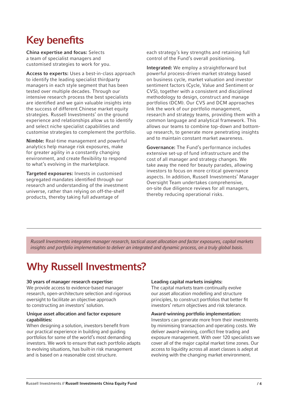# Key benefits

China expertise and focus: Selects a team of specialist managers and customised strategies to work for you.

Access to experts: Uses a best-in-class approach to identify the leading specialist thirdparty managers in each style segment that has been tested over multiple decades. Through our intensive research process the best specialists are identified and we gain valuable insights into the success of different Chinese market equity strategies. Russell Investments' on the ground experience and relationships allow us to identify and select niche specialist capabilities and customise strategies to complement the portfolio.

Nimble: Real-time management and powerful analytics help manage risk exposures, make for greater agility in a constantly changing environment, and create flexibility to respond to what's evolving in the marketplace.

Targeted exposures: Invests in customised segregated mandates identified through our research and understanding of the investment universe, rather than relying on off-the-shelf products, thereby taking full advantage of

each strategy's key strengths and retaining full control of the Fund's overall positioning.

Integrated: We employ a straightforward but powerful process-driven market strategy based on business cycle, market valuation and investor sentiment factors (Cycle, Value and Sentiment or CVS), together with a consistent and disciplined methodology to design, construct and manage portfolios (DCM). Our CVS and DCM approaches link the work of our portfolio management, research and strategy teams, providing them with a common language and analytical framework. This allows our teams to combine top-down and bottomup research, to generate more penetrating insights and to maintain constant market awareness.

Governance: The Fund's performance includes extensive set-up of fund infrastructure and the cost of all manager and strategy changes. We take away the need for beauty parades, allowing investors to focus on more critical governance aspects. In addition, Russell Investments' Manager Oversight Team undertakes comprehensive, on-site due diligence reviews for all managers, thereby reducing operational risks.

*Russell Investments integrates manager research, tactical asset allocation and factor exposures, capital markets insights and portfolio implementation to deliver an integrated and dynamic process, on a truly global basis.*

## Why Russell Investments?

### 30 years of manager research expertise:

We provide access to evidence-based manager research, open-architecture selection and rigorous oversight to facilitate an objective approach to constructing an investors' solution.

#### Unique asset allocation and factor exposure capabilities:

When designing a solution, investors benefit from our practical experience in building and guiding portfolios for some of the world's most demanding investors. We work to ensure that each portfolio adapts to evolving situations, has built-in risk management and is based on a reasonable cost structure.

#### Leading capital markets insights:

The capital markets team continually evolve our asset allocation modelling and structure principles, to construct portfolios that better fit investors' return objectives and risk tolerance.

#### Award-winning portfolio implementation:

Investors can generate more from their investments by minimising transaction and operating costs. We deliver award-winning, conflict free trading and exposure management. With over 120 specialists we cover all of the major capital market time zones. Our access to liquidity across all asset classes is adept at evolving with the changing market environment.